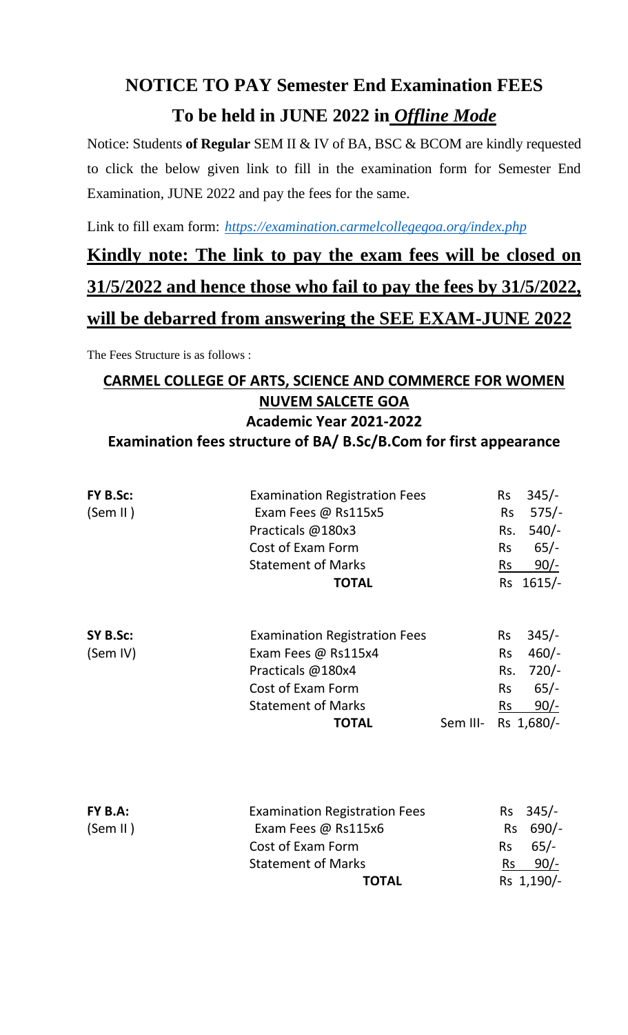## **NOTICE TO PAY Semester End Examination FEES To be held in JUNE 2022 in** *Offline Mode*

Notice: Students **of Regular** SEM II & IV of BA, BSC & BCOM are kindly requested to click the below given link to fill in the examination form for Semester End Examination, JUNE 2022 and pay the fees for the same.

Link to fill exam form: *https://examination.carmelcollegegoa.org/index.php*

## **Kindly note: The link to pay the exam fees will be closed on 31/5/2022 and hence those who fail to pay the fees by 31/5/2022, will be debarred from answering the SEE EXAM-JUNE 2022**

The Fees Structure is as follows :

## **CARMEL COLLEGE OF ARTS, SCIENCE AND COMMERCE FOR WOMEN NUVEM SALCETE GOA Academic Year 2021-2022 Examination fees structure of BA/ B.Sc/B.Com for first appearance**

| FY B.Sc:<br>(Sem II) | <b>Examination Registration Fees</b><br>Exam Fees @ Rs115x5<br>Practicals @180x3<br>Cost of Exam Form<br><b>Statement of Marks</b><br><b>TOTAL</b>        |          | <b>Rs</b><br><b>Rs</b><br>Rs.<br><b>Rs</b><br>$\mathsf{Rs}$ | $345/-$<br>$575/-$<br>$540/-$<br>$65/-$<br><u>90/-</u><br>Rs 1615/- |
|----------------------|-----------------------------------------------------------------------------------------------------------------------------------------------------------|----------|-------------------------------------------------------------|---------------------------------------------------------------------|
| SY B.Sc:<br>(Sem IV) | <b>Examination Registration Fees</b><br>Exam Fees @ Rs115x4<br>Practicals @180x4<br><b>Cost of Exam Form</b><br><b>Statement of Marks</b><br><b>TOTAL</b> | Sem III- | <b>Rs</b><br><b>Rs</b><br>Rs.<br><b>Rs</b><br><b>Rs</b>     | $345/-$<br>$460/-$<br>$720/-$<br>$65/-$<br>$90/-$<br>Rs 1,680/-     |
| FY B.A:<br>(Sem II)  | <b>Examination Registration Fees</b><br>Exam Fees @ Rs115x6<br>Cost of Exam Form<br><b>Statement of Marks</b><br><b>TOTAL</b>                             |          | <b>Rs</b><br><b>Rs</b><br><b>Rs</b><br><b>Rs</b>            | $345/-$<br>$690/-$<br>$65/-$<br>$90/-$<br>Rs 1,190/-                |